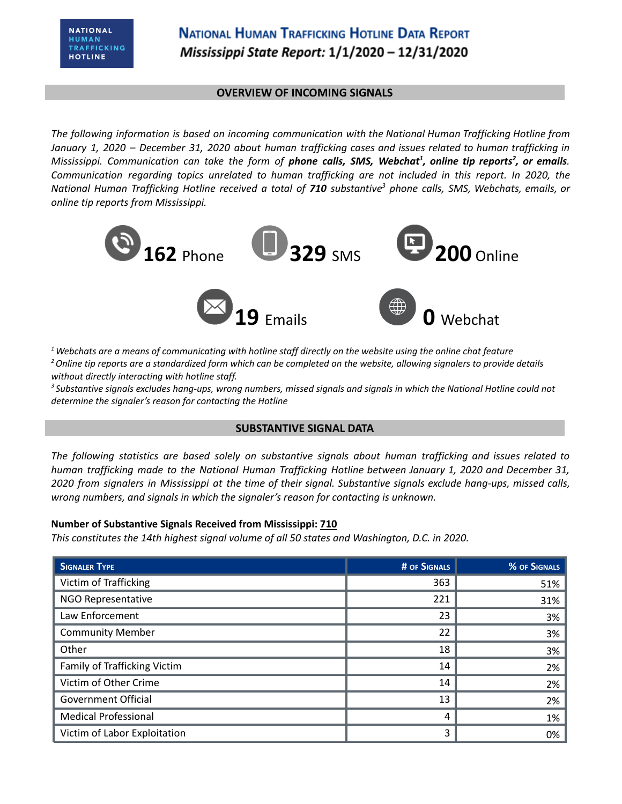### **OVERVIEW OF INCOMING SIGNALS**

*The following information is based on incoming communication with the National Human Trafficking Hotline from* January 1, 2020 - December 31, 2020 about human trafficking cases and issues related to human trafficking in Mississippi. Communication can take the form of **phone calls, SMS, Webchat<sup>1</sup>, online tip reports<sup>2</sup>, or emails.** *Communication regarding topics unrelated to human trafficking are not included in this report. In 2020, the* National Human Trafficking Hotline received a total of **710** substantive<sup>3</sup> phone calls, SMS, Webchats, emails, or *online tip reports from Mississippi.*



 $1$  Webchats are a means of communicating with hotline staff directly on the website using the online chat feature <sup>2</sup> Online tip reports are a standardized form which can be completed on the website, allowing signalers to provide details *without directly interacting with hotline staff.*

<sup>3</sup> Substantive signals excludes hang-ups, wrong numbers, missed signals and signals in which the National Hotline could not *determine the signaler's reason for contacting the Hotline*

## **SUBSTANTIVE SIGNAL DATA**

*The following statistics are based solely on substantive signals about human trafficking and issues related to human trafficking made to the National Human Trafficking Hotline between January 1, 2020 and December 31,* 2020 from signalers in Mississippi at the time of their signal. Substantive signals exclude hang-ups, missed calls, *wrong numbers, and signals in which the signaler's reason for contacting is unknown.*

## **Number of Substantive Signals Received from Mississippi: 710**

*This constitutes the 14th highest signal volume of all 50 states and Washington, D.C. in 2020.*

| <b>SIGNALER TYPE</b>         | # OF SIGNALS | % OF SIGNALS |
|------------------------------|--------------|--------------|
| Victim of Trafficking        | 363          | 51%          |
| NGO Representative           | 221          | 31%          |
| Law Enforcement              | 23           | 3%           |
| <b>Community Member</b>      | 22           | 3%           |
| Other                        | 18           | 3%           |
| Family of Trafficking Victim | 14           | 2%           |
| Victim of Other Crime        | 14           | 2%           |
| <b>Government Official</b>   | 13           | 2%           |
| <b>Medical Professional</b>  | 4            | 1%           |
| Victim of Labor Exploitation | 3            | 0%           |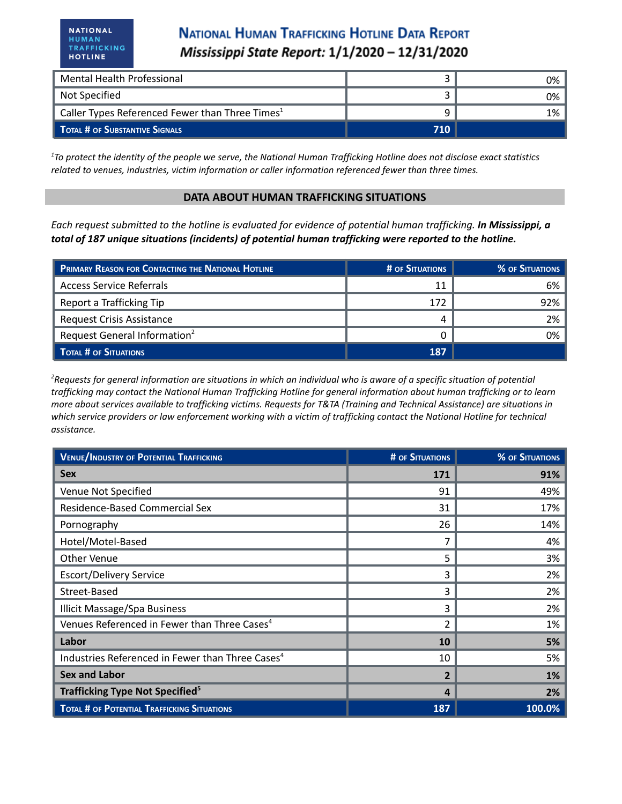# **NATIONAL HUMAN TRAFFICKING HOTLINE DATA REPORT** Mississippi State Report: 1/1/2020 - 12/31/2020

| Mental Health Professional                                  |     | 0% l |
|-------------------------------------------------------------|-----|------|
| Not Specified                                               |     | 0% ነ |
| Caller Types Referenced Fewer than Three Times <sup>1</sup> |     | 1%   |
| <b>TOTAL # OF SUBSTANTIVE SIGNALS</b>                       | 710 |      |

 $1$ To protect the identity of the people we serve, the National Human Trafficking Hotline does not disclose exact statistics *related to venues, industries, victim information or caller information referenced fewer than three times.*

#### **DATA ABOUT HUMAN TRAFFICKING SITUATIONS**

Each request submitted to the hotline is evaluated for evidence of potential human trafficking. In Mississippi, a *total of 187 unique situations (incidents) of potential human trafficking were reported to the hotline.*

| <b>PRIMARY REASON FOR CONTACTING THE NATIONAL HOTLINE</b> | # OF SITUATIONS | <b>% OF SITUATIONS</b> |
|-----------------------------------------------------------|-----------------|------------------------|
| <b>Access Service Referrals</b>                           | 11              | 6%                     |
| Report a Trafficking Tip                                  | 172             | 92%                    |
| <b>Request Crisis Assistance</b>                          |                 | 2%                     |
| Request General Information <sup>2</sup>                  |                 | 0%                     |
| <b>TOTAL # OF SITUATIONS</b>                              | 187             |                        |

<sup>2</sup>Requests for general information are situations in which an individual who is aware of a specific situation of potential trafficking may contact the National Human Trafficking Hotline for general information about human trafficking or to learn more about services available to trafficking victims. Requests for T&TA (Training and Technical Assistance) are situations in which service providers or law enforcement working with a victim of trafficking contact the National Hotline for technical *assistance.*

| <b>VENUE/INDUSTRY OF POTENTIAL TRAFFICKING</b>               | <b># OF SITUATIONS</b> | <b>% OF SITUATIONS</b> |
|--------------------------------------------------------------|------------------------|------------------------|
| <b>Sex</b>                                                   | 171                    | 91%                    |
| Venue Not Specified                                          | 91                     | 49%                    |
| Residence-Based Commercial Sex                               | 31                     | 17%                    |
| Pornography                                                  | 26                     | 14%                    |
| Hotel/Motel-Based                                            |                        | 4%                     |
| Other Venue                                                  | 5                      | 3%                     |
| <b>Escort/Delivery Service</b>                               | 3                      | 2%                     |
| Street-Based                                                 | 3                      | 2%                     |
| <b>Illicit Massage/Spa Business</b>                          | 3                      | 2%                     |
| Venues Referenced in Fewer than Three Cases <sup>4</sup>     | $\overline{2}$         | 1%                     |
| Labor                                                        | 10                     | 5%                     |
| Industries Referenced in Fewer than Three Cases <sup>4</sup> | 10                     | 5%                     |
| <b>Sex and Labor</b>                                         | $\overline{2}$         | 1%                     |
| Trafficking Type Not Specified <sup>5</sup>                  | 4                      | 2%                     |
| <b>TOTAL # OF POTENTIAL TRAFFICKING SITUATIONS</b>           | 187                    | 100.0%                 |